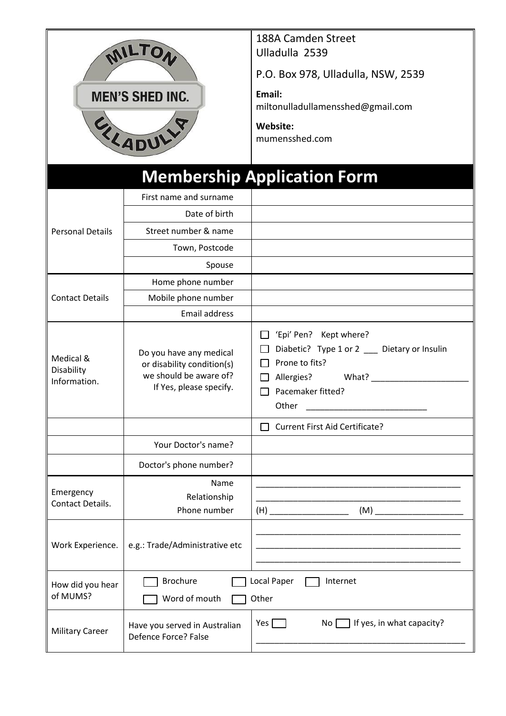| MILTON<br><b>MEN'S SHED INC.</b><br>ELADULLY |                                                                                                            | 188A Camden Street<br>Ulladulla 2539<br>P.O. Box 978, Ulladulla, NSW, 2539<br>Email:<br>miltonulladullamensshed@gmail.com<br>Website:<br>mumensshed.com |  |  |  |
|----------------------------------------------|------------------------------------------------------------------------------------------------------------|---------------------------------------------------------------------------------------------------------------------------------------------------------|--|--|--|
|                                              |                                                                                                            | <b>Membership Application Form</b>                                                                                                                      |  |  |  |
|                                              | First name and surname                                                                                     |                                                                                                                                                         |  |  |  |
|                                              | Date of birth                                                                                              |                                                                                                                                                         |  |  |  |
| <b>Personal Details</b>                      | Street number & name                                                                                       |                                                                                                                                                         |  |  |  |
|                                              | Town, Postcode                                                                                             |                                                                                                                                                         |  |  |  |
|                                              | Spouse                                                                                                     |                                                                                                                                                         |  |  |  |
| <b>Contact Details</b>                       | Home phone number                                                                                          |                                                                                                                                                         |  |  |  |
|                                              | Mobile phone number                                                                                        |                                                                                                                                                         |  |  |  |
|                                              | <b>Email address</b>                                                                                       |                                                                                                                                                         |  |  |  |
| Medical &<br>Disability<br>Information.      | Do you have any medical<br>or disability condition(s)<br>we should be aware of?<br>If Yes, please specify. | 'Epi' Pen? Kept where?<br>Diabetic? Type 1 or 2 __ Dietary or Insulin<br>Prone to fits?<br>Allergies? What?<br>Pacemaker fitted?<br>Other               |  |  |  |
|                                              |                                                                                                            | <b>Current First Aid Certificate?</b>                                                                                                                   |  |  |  |
|                                              | Your Doctor's name?                                                                                        |                                                                                                                                                         |  |  |  |
|                                              | Doctor's phone number?                                                                                     |                                                                                                                                                         |  |  |  |
| Emergency<br>Contact Details.                | Name<br>Relationship<br>Phone number                                                                       | $(M)$ <sub>___</sub>                                                                                                                                    |  |  |  |
| Work Experience.                             | e.g.: Trade/Administrative etc                                                                             |                                                                                                                                                         |  |  |  |
| How did you hear<br>of MUMS?                 | <b>Brochure</b><br>Word of mouth                                                                           | Local Paper<br>Internet<br>Other                                                                                                                        |  |  |  |
| <b>Military Career</b>                       | Have you served in Australian<br>Defence Force? False                                                      | If yes, in what capacity?<br>Yes $\Gamma$<br>No <sub>1</sub>                                                                                            |  |  |  |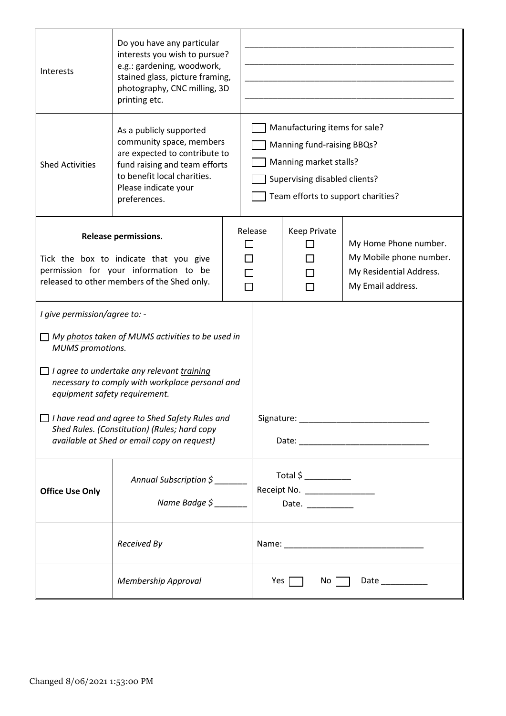| Interests                                                                                                                                                                                                                                                                                                             | Do you have any particular<br>interests you wish to pursue?<br>e.g.: gardening, woodwork,<br>stained glass, picture framing,<br>photography, CNC milling, 3D<br>printing etc.                |  |                                                                                                                                                              |                       |                                                                                                  |  |
|-----------------------------------------------------------------------------------------------------------------------------------------------------------------------------------------------------------------------------------------------------------------------------------------------------------------------|----------------------------------------------------------------------------------------------------------------------------------------------------------------------------------------------|--|--------------------------------------------------------------------------------------------------------------------------------------------------------------|-----------------------|--------------------------------------------------------------------------------------------------|--|
| <b>Shed Activities</b>                                                                                                                                                                                                                                                                                                | As a publicly supported<br>community space, members<br>are expected to contribute to<br>fund raising and team efforts<br>to benefit local charities.<br>Please indicate your<br>preferences. |  | Manufacturing items for sale?<br>Manning fund-raising BBQs?<br>Manning market stalls?<br>Supervising disabled clients?<br>Team efforts to support charities? |                       |                                                                                                  |  |
| <b>Release permissions.</b><br>Tick the box to indicate that you give<br>permission for your information to be<br>released to other members of the Shed only.                                                                                                                                                         |                                                                                                                                                                                              |  | Release                                                                                                                                                      | Keep Private          | My Home Phone number.<br>My Mobile phone number.<br>My Residential Address.<br>My Email address. |  |
| I give permission/agree to: -<br>$\Box$ My photos taken of MUMS activities to be used in<br><b>MUMS</b> promotions.<br>$\Box$ I agree to undertake any relevant training<br>necessary to comply with workplace personal and<br>equipment safety requirement.<br>$\Box$ I have read and agree to Shed Safety Rules and |                                                                                                                                                                                              |  |                                                                                                                                                              |                       |                                                                                                  |  |
| Shed Rules. (Constitution) (Rules; hard copy<br>available at Shed or email copy on request)                                                                                                                                                                                                                           |                                                                                                                                                                                              |  |                                                                                                                                                              |                       |                                                                                                  |  |
| <b>Office Use Only</b>                                                                                                                                                                                                                                                                                                | Annual Subscription \$                                                                                                                                                                       |  |                                                                                                                                                              | $Total $ \_$<br>Date. |                                                                                                  |  |
|                                                                                                                                                                                                                                                                                                                       | Received By                                                                                                                                                                                  |  |                                                                                                                                                              |                       |                                                                                                  |  |
|                                                                                                                                                                                                                                                                                                                       | Membership Approval                                                                                                                                                                          |  | Yes $\Box$<br>No<br>Date __________                                                                                                                          |                       |                                                                                                  |  |